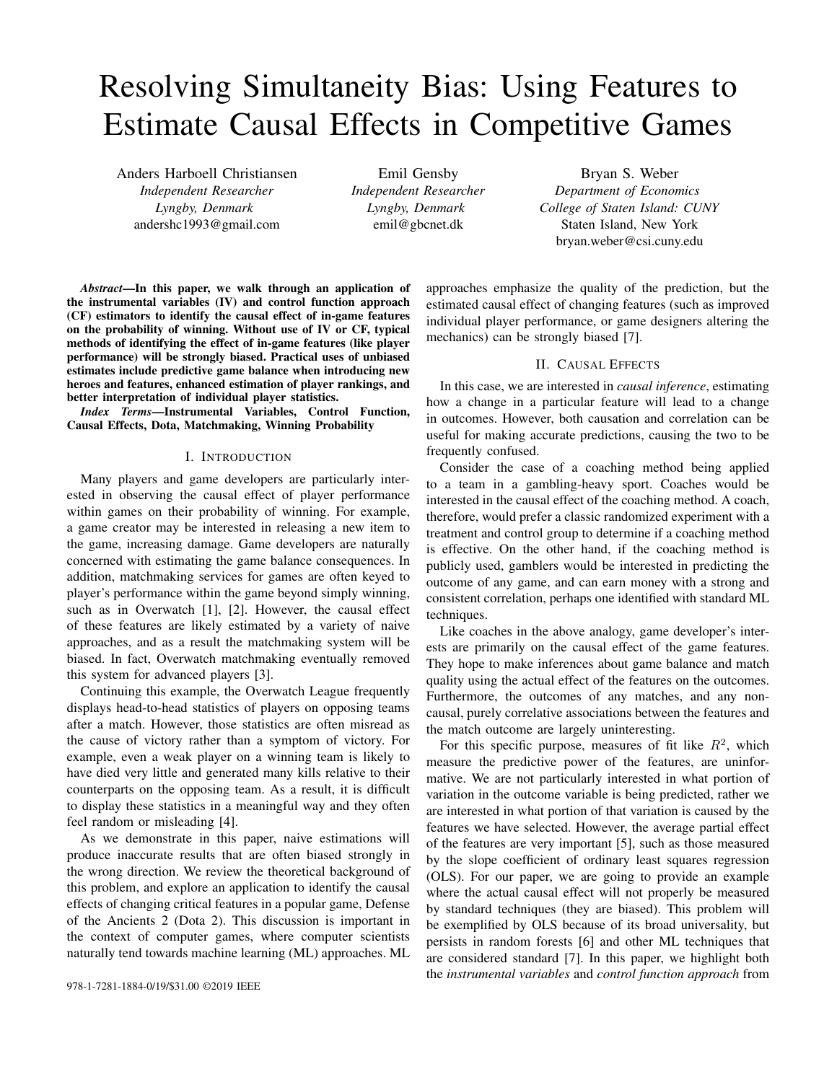# Resolving Simultaneity Bias: Using Features to Estimate Causal Effects in Competitive Games

Anders Harboell Christiansen *Independent Researcher Lyngby, Denmark* andershc1993@gmail.com

Emil Gensby *Independent Researcher Lyngby, Denmark* emil@gbcnet.dk

Bryan S. Weber *Department of Economics College of Staten Island: CUNY* Staten Island, New York bryan.weber@csi.cuny.edu

*Abstract*—In this paper, we walk through an application of the instrumental variables (IV) and control function approach (CF) estimators to identify the causal effect of in-game features on the probability of winning. Without use of IV or CF, typical methods of identifying the effect of in-game features (like player performance) will be strongly biased. Practical uses of unbiased estimates include predictive game balance when introducing new heroes and features, enhanced estimation of player rankings, and better interpretation of individual player statistics.

*Index Terms*—Instrumental Variables, Control Function, Causal Effects, Dota, Matchmaking, Winning Probability

## I. INTRODUCTION

Many players and game developers are particularly interested in observing the causal effect of player performance within games on their probability of winning. For example, a game creator may be interested in releasing a new item to the game, increasing damage. Game developers are naturally concerned with estimating the game balance consequences. In addition, matchmaking services for games are often keyed to player's performance within the game beyond simply winning, such as in Overwatch [1], [2]. However, the causal effect of these features are likely estimated by a variety of naive approaches, and as a result the matchmaking system will be biased. In fact, Overwatch matchmaking eventually removed this system for advanced players [3].

Continuing this example, the Overwatch League frequently displays head-to-head statistics of players on opposing teams after a match. However, those statistics are often misread as the cause of victory rather than a symptom of victory. For example, even a weak player on a winning team is likely to have died very little and generated many kills relative to their counterparts on the opposing team. As a result, it is difficult to display these statistics in a meaningful way and they often feel random or misleading [4].

As we demonstrate in this paper, naive estimations will produce inaccurate results that are often biased strongly in the wrong direction. We review the theoretical background of this problem, and explore an application to identify the causal effects of changing critical features in a popular game, Defense of the Ancients 2 (Dota 2). This discussion is important in the context of computer games, where computer scientists naturally tend towards machine learning (ML) approaches. ML approaches emphasize the quality of the prediction, but the estimated causal effect of changing features (such as improved individual player performance, or game designers altering the mechanics) can be strongly biased [7].

# II. CAUSAL EFFECTS

In this case, we are interested in *causal inference*, estimating how a change in a particular feature will lead to a change in outcomes. However, both causation and correlation can be useful for making accurate predictions, causing the two to be frequently confused.

Consider the case of a coaching method being applied to a team in a gambling-heavy sport. Coaches would be interested in the causal effect of the coaching method. A coach, therefore, would prefer a classic randomized experiment with a treatment and control group to determine if a coaching method is effective. On the other hand, if the coaching method is publicly used, gamblers would be interested in predicting the outcome of any game, and can earn money with a strong and consistent correlation, perhaps one identified with standard ML techniques.

Like coaches in the above analogy, game developer's interests are primarily on the causal effect of the game features. They hope to make inferences about game balance and match quality using the actual effect of the features on the outcomes. Furthermore, the outcomes of any matches, and any noncausal, purely correlative associations between the features and the match outcome are largely uninteresting.

For this specific purpose, measures of fit like  $R^2$ , which measure the predictive power of the features, are uninformative. We are not particularly interested in what portion of variation in the outcome variable is being predicted, rather we are interested in what portion of that variation is caused by the features we have selected. However, the average partial effect of the features are very important [5], such as those measured by the slope coefficient of ordinary least squares regression (OLS). For our paper, we are going to provide an example where the actual causal effect will not properly be measured by standard techniques (they are biased). This problem will be exemplified by OLS because of its broad universality, but persists in random forests [6] and other ML techniques that are considered standard [7]. In this paper, we highlight both the *instrumental variables* and *control function approach* from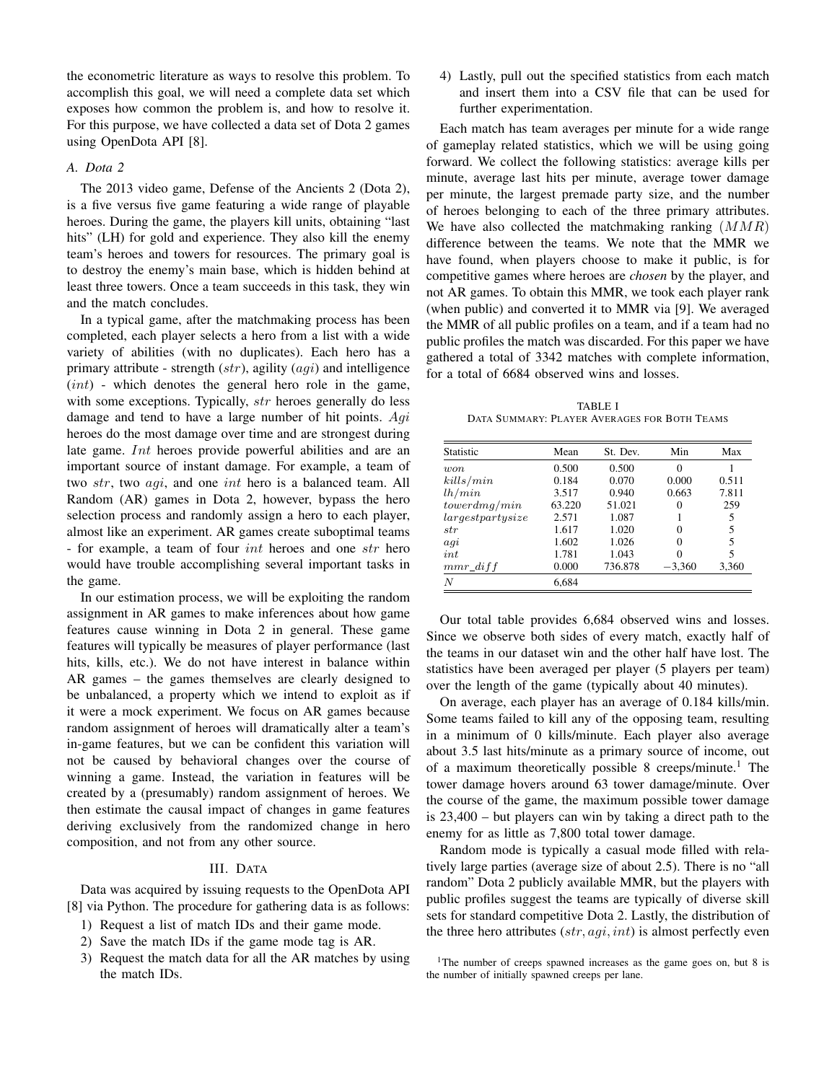the econometric literature as ways to resolve this problem. To accomplish this goal, we will need a complete data set which exposes how common the problem is, and how to resolve it. For this purpose, we have collected a data set of Dota 2 games using OpenDota API [8].

# *A. Dota 2*

The 2013 video game, Defense of the Ancients 2 (Dota 2), is a five versus five game featuring a wide range of playable heroes. During the game, the players kill units, obtaining "last hits" (LH) for gold and experience. They also kill the enemy team's heroes and towers for resources. The primary goal is to destroy the enemy's main base, which is hidden behind at least three towers. Once a team succeeds in this task, they win and the match concludes.

In a typical game, after the matchmaking process has been completed, each player selects a hero from a list with a wide variety of abilities (with no duplicates). Each hero has a primary attribute - strength  $(str)$ , agility  $(agi)$  and intelligence  $(int)$  - which denotes the general hero role in the game, with some exceptions. Typically, str heroes generally do less damage and tend to have a large number of hit points.  $Agi$ heroes do the most damage over time and are strongest during late game. Int heroes provide powerful abilities and are an important source of instant damage. For example, a team of two str, two agi, and one int hero is a balanced team. All Random (AR) games in Dota 2, however, bypass the hero selection process and randomly assign a hero to each player, almost like an experiment. AR games create suboptimal teams - for example, a team of four int heroes and one str hero would have trouble accomplishing several important tasks in the game.

In our estimation process, we will be exploiting the random assignment in AR games to make inferences about how game features cause winning in Dota 2 in general. These game features will typically be measures of player performance (last hits, kills, etc.). We do not have interest in balance within AR games – the games themselves are clearly designed to be unbalanced, a property which we intend to exploit as if it were a mock experiment. We focus on AR games because random assignment of heroes will dramatically alter a team's in-game features, but we can be confident this variation will not be caused by behavioral changes over the course of winning a game. Instead, the variation in features will be created by a (presumably) random assignment of heroes. We then estimate the causal impact of changes in game features deriving exclusively from the randomized change in hero composition, and not from any other source.

#### III. DATA

Data was acquired by issuing requests to the OpenDota API [8] via Python. The procedure for gathering data is as follows:

- 1) Request a list of match IDs and their game mode.
- 2) Save the match IDs if the game mode tag is AR.
- 3) Request the match data for all the AR matches by using the match IDs.

4) Lastly, pull out the specified statistics from each match and insert them into a CSV file that can be used for further experimentation.

Each match has team averages per minute for a wide range of gameplay related statistics, which we will be using going forward. We collect the following statistics: average kills per minute, average last hits per minute, average tower damage per minute, the largest premade party size, and the number of heroes belonging to each of the three primary attributes. We have also collected the matchmaking ranking  $(MMR)$ difference between the teams. We note that the MMR we have found, when players choose to make it public, is for competitive games where heroes are *chosen* by the player, and not AR games. To obtain this MMR, we took each player rank (when public) and converted it to MMR via [9]. We averaged the MMR of all public profiles on a team, and if a team had no public profiles the match was discarded. For this paper we have gathered a total of 3342 matches with complete information, for a total of 6684 observed wins and losses.

TABLE I DATA SUMMARY: PLAYER AVERAGES FOR BOTH TEAMS

| Statistic         | Mean   | St. Dev. | Min      | Max   |
|-------------------|--------|----------|----------|-------|
| $^{110}$          | 0.500  | 0.500    | $\Omega$ |       |
| kills/min         | 0.184  | 0.070    | 0.000    | 0.511 |
| lh/min            | 3.517  | 0.940    | 0.663    | 7.811 |
| towerdmg/min      | 63.220 | 51.021   | 0        | 259   |
| largest partysize | 2.571  | 1.087    |          | 5     |
| str               | 1.617  | 1.020    |          | 5     |
| agi               | 1.602  | 1.026    | 0        | 5     |
| int               | 1.781  | 1.043    |          | 5     |
| $mmr\_diff$       | 0.000  | 736.878  | $-3,360$ | 3,360 |
| N                 | 6,684  |          |          |       |

Our total table provides 6,684 observed wins and losses. Since we observe both sides of every match, exactly half of the teams in our dataset win and the other half have lost. The statistics have been averaged per player (5 players per team) over the length of the game (typically about 40 minutes).

On average, each player has an average of 0.184 kills/min. Some teams failed to kill any of the opposing team, resulting in a minimum of 0 kills/minute. Each player also average about 3.5 last hits/minute as a primary source of income, out of a maximum theoretically possible 8 creeps/minute.<sup>1</sup> The tower damage hovers around 63 tower damage/minute. Over the course of the game, the maximum possible tower damage is 23,400 – but players can win by taking a direct path to the enemy for as little as 7,800 total tower damage.

Random mode is typically a casual mode filled with relatively large parties (average size of about 2.5). There is no "all random" Dota 2 publicly available MMR, but the players with public profiles suggest the teams are typically of diverse skill sets for standard competitive Dota 2. Lastly, the distribution of the three hero attributes  $(str, agi, int)$  is almost perfectly even

<sup>&</sup>lt;sup>1</sup>The number of creeps spawned increases as the game goes on, but 8 is the number of initially spawned creeps per lane.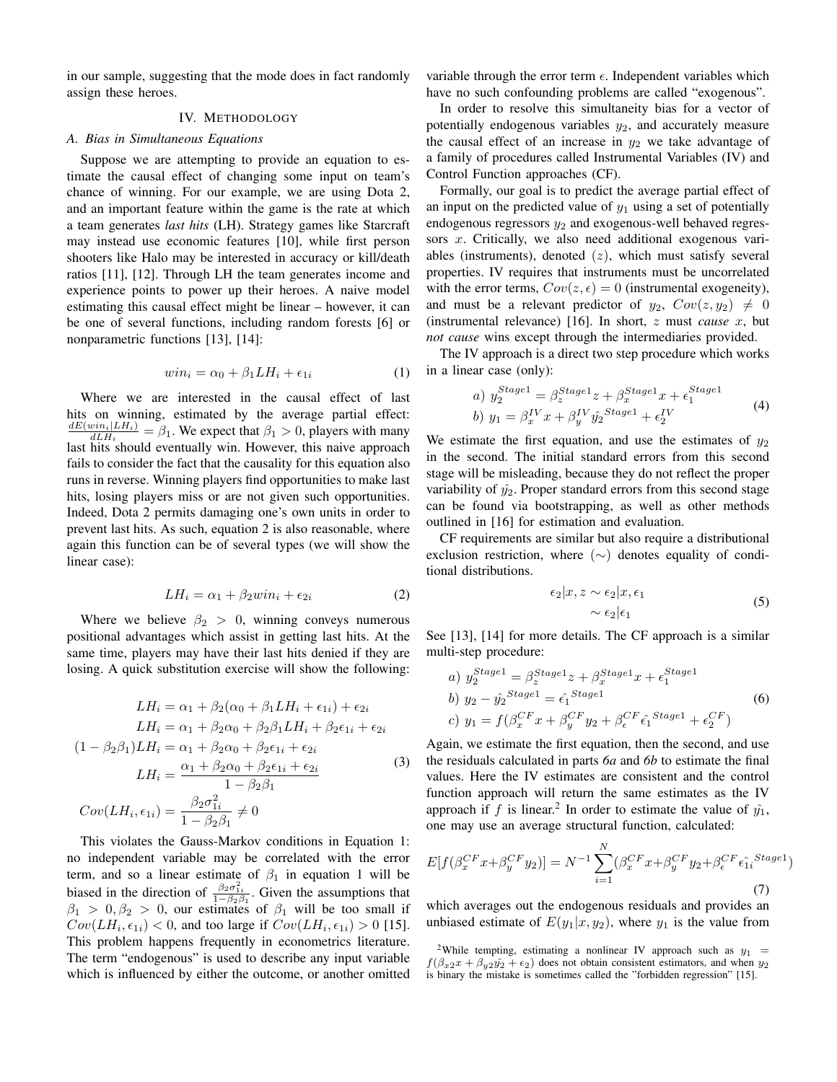in our sample, suggesting that the mode does in fact randomly assign these heroes.

# IV. METHODOLOGY

### *A. Bias in Simultaneous Equations*

Suppose we are attempting to provide an equation to estimate the causal effect of changing some input on team's chance of winning. For our example, we are using Dota 2, and an important feature within the game is the rate at which a team generates *last hits* (LH). Strategy games like Starcraft may instead use economic features [10], while first person shooters like Halo may be interested in accuracy or kill/death ratios [11], [12]. Through LH the team generates income and experience points to power up their heroes. A naive model estimating this causal effect might be linear – however, it can be one of several functions, including random forests [6] or nonparametric functions [13], [14]:

$$
win_i = \alpha_0 + \beta_1 LH_i + \epsilon_{1i} \tag{1}
$$

Where we are interested in the causal effect of last hits on winning, estimated by the average partial effect:  $dE(win_i|LH_i)$  $\frac{\partial \mathcal{L} u_{i} L H_{i}}{\partial L H_{i}} = \beta_{1}$ . We expect that  $\beta_{1} > 0$ , players with many last hits should eventually win. However, this naive approach fails to consider the fact that the causality for this equation also runs in reverse. Winning players find opportunities to make last hits, losing players miss or are not given such opportunities. Indeed, Dota 2 permits damaging one's own units in order to prevent last hits. As such, equation 2 is also reasonable, where again this function can be of several types (we will show the linear case):

$$
LH_i = \alpha_1 + \beta_2 \text{win}_i + \epsilon_{2i} \tag{2}
$$

Where we believe  $\beta_2 > 0$ , winning conveys numerous positional advantages which assist in getting last hits. At the same time, players may have their last hits denied if they are losing. A quick substitution exercise will show the following:

$$
LH_i = \alpha_1 + \beta_2(\alpha_0 + \beta_1 LH_i + \epsilon_{1i}) + \epsilon_{2i}
$$
  
\n
$$
LH_i = \alpha_1 + \beta_2\alpha_0 + \beta_2\beta_1 LH_i + \beta_2\epsilon_{1i} + \epsilon_{2i}
$$
  
\n
$$
(1 - \beta_2\beta_1)LH_i = \alpha_1 + \beta_2\alpha_0 + \beta_2\epsilon_{1i} + \epsilon_{2i}
$$
  
\n
$$
LH_i = \frac{\alpha_1 + \beta_2\alpha_0 + \beta_2\epsilon_{1i} + \epsilon_{2i}}{1 - \beta_2\beta_1}
$$
  
\n
$$
Cov(LH_i, \epsilon_{1i}) = \frac{\beta_2\sigma_{1i}^2}{1 - \beta_2\beta_1} \neq 0
$$
 (3)

This violates the Gauss-Markov conditions in Equation 1: no independent variable may be correlated with the error term, and so a linear estimate of  $\beta_1$  in equation 1 will be biased in the direction of  $\frac{\beta_2 \sigma_{1i}^2}{1-\beta_2 \beta_1}$ . Given the assumptions that  $\beta_1 > 0, \beta_2 > 0$ , our estimates of  $\beta_1$  will be too small if  $Cov(LH_i, \epsilon_{1i})$  < 0, and too large if  $Cov(LH_i, \epsilon_{1i}) > 0$  [15]. This problem happens frequently in econometrics literature. The term "endogenous" is used to describe any input variable which is influenced by either the outcome, or another omitted

variable through the error term  $\epsilon$ . Independent variables which have no such confounding problems are called "exogenous".

In order to resolve this simultaneity bias for a vector of potentially endogenous variables  $y_2$ , and accurately measure the causal effect of an increase in  $y_2$  we take advantage of a family of procedures called Instrumental Variables (IV) and Control Function approaches (CF).

Formally, our goal is to predict the average partial effect of an input on the predicted value of  $y_1$  using a set of potentially endogenous regressors  $y_2$  and exogenous-well behaved regressors x. Critically, we also need additional exogenous variables (instruments), denoted  $(z)$ , which must satisfy several properties. IV requires that instruments must be uncorrelated with the error terms,  $Cov(z, \epsilon) = 0$  (instrumental exogeneity), and must be a relevant predictor of  $y_2$ ,  $Cov(z, y_2) \neq 0$ (instrumental relevance) [16]. In short, z must *cause* x, but *not cause* wins except through the intermediaries provided.

The IV approach is a direct two step procedure which works in a linear case (only):

a) 
$$
y_2^{Stage1} = \beta_z^{Stage1} z + \beta_x^{Stage1} x + \epsilon_1^{Stage1}
$$
  
b)  $y_1 = \beta_x^{IV} x + \beta_y^{IV} \hat{y}_2^{Stage1} + \epsilon_2^{IV}$  (4)

We estimate the first equation, and use the estimates of  $y_2$ in the second. The initial standard errors from this second stage will be misleading, because they do not reflect the proper variability of  $\hat{y}_2$ . Proper standard errors from this second stage can be found via bootstrapping, as well as other methods outlined in [16] for estimation and evaluation.

CF requirements are similar but also require a distributional exclusion restriction, where  $(\sim)$  denotes equality of conditional distributions.

$$
\epsilon_2 | x, z \sim \epsilon_2 | x, \epsilon_1
$$
  
 
$$
\sim \epsilon_2 | \epsilon_1
$$
 (5)

See [13], [14] for more details. The CF approach is a similar multi-step procedure:

a) 
$$
y_2^{Stage1} = \beta_z^{Stage1} z + \beta_x^{Stage1} x + \epsilon_1^{Stage1}
$$
  
\nb)  $y_2 - \hat{y}_2^{Stage1} = \hat{\epsilon}_1^{Stage1}$   
\nc)  $y_1 = f(\beta_x^{CF} x + \beta_y^{CF} y_2 + \beta_\epsilon^{CF} \hat{\epsilon}_1^{Stage1} + \epsilon_2^{CF})$  (6)

Again, we estimate the first equation, then the second, and use the residuals calculated in parts *6a* and *6b* to estimate the final values. Here the IV estimates are consistent and the control function approach will return the same estimates as the IV approach if f is linear.<sup>2</sup> In order to estimate the value of  $\hat{y_1}$ , one may use an average structural function, calculated:

$$
E[f(\beta_x^{CF}x + \beta_y^{CF}y_2)] = N^{-1} \sum_{i=1}^{N} (\beta_x^{CF}x + \beta_y^{CF}y_2 + \beta_{\epsilon}^{CF}\epsilon_{1i}^{Stagel})
$$
\n(7)

which averages out the endogenous residuals and provides an unbiased estimate of  $E(y_1|x, y_2)$ , where  $y_1$  is the value from

<sup>&</sup>lt;sup>2</sup>While tempting, estimating a nonlinear IV approach such as  $y_1$  =  $f(\beta_{x2}x + \beta_{y2}\hat{y_2} + \epsilon_2)$  does not obtain consistent estimators, and when  $y_2$ is binary the mistake is sometimes called the "forbidden regression" [15].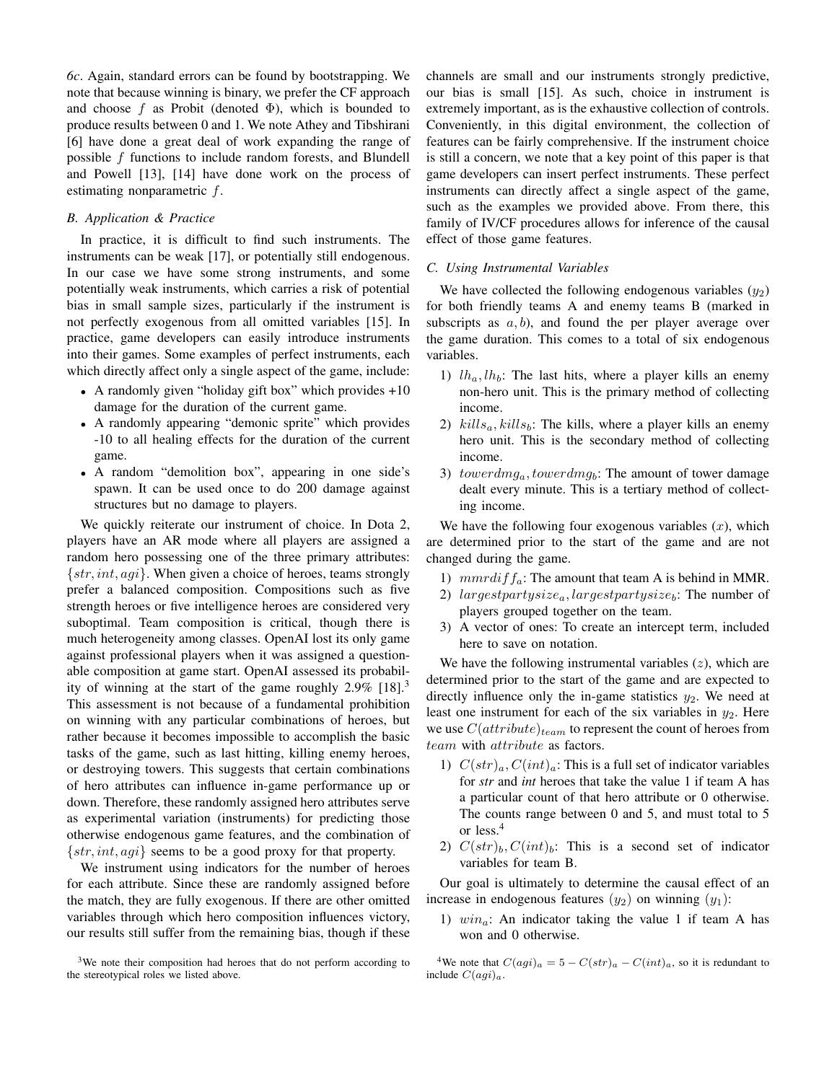*6c*. Again, standard errors can be found by bootstrapping. We note that because winning is binary, we prefer the CF approach and choose f as Probit (denoted  $\Phi$ ), which is bounded to produce results between 0 and 1. We note Athey and Tibshirani [6] have done a great deal of work expanding the range of possible  $f$  functions to include random forests, and Blundell and Powell [13], [14] have done work on the process of estimating nonparametric f.

#### *B. Application & Practice*

In practice, it is difficult to find such instruments. The instruments can be weak [17], or potentially still endogenous. In our case we have some strong instruments, and some potentially weak instruments, which carries a risk of potential bias in small sample sizes, particularly if the instrument is not perfectly exogenous from all omitted variables [15]. In practice, game developers can easily introduce instruments into their games. Some examples of perfect instruments, each which directly affect only a single aspect of the game, include:

- A randomly given "holiday gift box" which provides +10 damage for the duration of the current game.
- A randomly appearing "demonic sprite" which provides -10 to all healing effects for the duration of the current game.
- A random "demolition box", appearing in one side's spawn. It can be used once to do 200 damage against structures but no damage to players.

We quickly reiterate our instrument of choice. In Dota 2, players have an AR mode where all players are assigned a random hero possessing one of the three primary attributes:  $\{str, int, aqi\}$ . When given a choice of heroes, teams strongly prefer a balanced composition. Compositions such as five strength heroes or five intelligence heroes are considered very suboptimal. Team composition is critical, though there is much heterogeneity among classes. OpenAI lost its only game against professional players when it was assigned a questionable composition at game start. OpenAI assessed its probability of winning at the start of the game roughly  $2.9\%$  [18].<sup>3</sup> This assessment is not because of a fundamental prohibition on winning with any particular combinations of heroes, but rather because it becomes impossible to accomplish the basic tasks of the game, such as last hitting, killing enemy heroes, or destroying towers. This suggests that certain combinations of hero attributes can influence in-game performance up or down. Therefore, these randomly assigned hero attributes serve as experimental variation (instruments) for predicting those otherwise endogenous game features, and the combination of  $\{str, int, aqi\}$  seems to be a good proxy for that property.

We instrument using indicators for the number of heroes for each attribute. Since these are randomly assigned before the match, they are fully exogenous. If there are other omitted variables through which hero composition influences victory, our results still suffer from the remaining bias, though if these channels are small and our instruments strongly predictive, our bias is small [15]. As such, choice in instrument is extremely important, as is the exhaustive collection of controls. Conveniently, in this digital environment, the collection of features can be fairly comprehensive. If the instrument choice is still a concern, we note that a key point of this paper is that game developers can insert perfect instruments. These perfect instruments can directly affect a single aspect of the game, such as the examples we provided above. From there, this family of IV/CF procedures allows for inference of the causal effect of those game features.

#### *C. Using Instrumental Variables*

We have collected the following endogenous variables  $(y_2)$ for both friendly teams A and enemy teams B (marked in subscripts as  $a, b$ ), and found the per player average over the game duration. This comes to a total of six endogenous variables.

- 1)  $lh_a, lh_b$ : The last hits, where a player kills an enemy non-hero unit. This is the primary method of collecting income.
- 2)  $kills_a,$   $kills_b$ : The kills, where a player kills an enemy hero unit. This is the secondary method of collecting income.
- 3) towerd $mg_a$ , towerd $mg_b$ : The amount of tower damage dealt every minute. This is a tertiary method of collecting income.

We have the following four exogenous variables  $(x)$ , which are determined prior to the start of the game and are not changed during the game.

- 1) mmrdif  $f_a$ : The amount that team A is behind in MMR.
- 2) largestpartysize<sub>a</sub>, largestpartysize<sub>b</sub>: The number of players grouped together on the team.
- 3) A vector of ones: To create an intercept term, included here to save on notation.

We have the following instrumental variables  $(z)$ , which are determined prior to the start of the game and are expected to directly influence only the in-game statistics  $y_2$ . We need at least one instrument for each of the six variables in  $y_2$ . Here we use  $C(atribute)_{team}$  to represent the count of heroes from team with attribute as factors.

- 1)  $C(str)_a$ ,  $C(int)_a$ : This is a full set of indicator variables for *str* and *int* heroes that take the value 1 if team A has a particular count of that hero attribute or 0 otherwise. The counts range between 0 and 5, and must total to 5 or less.<sup>4</sup>
- 2)  $C(str)_b, C(int)_b$ : This is a second set of indicator variables for team B.

Our goal is ultimately to determine the causal effect of an increase in endogenous features  $(y_2)$  on winning  $(y_1)$ :

1)  $win_a$ : An indicator taking the value 1 if team A has won and 0 otherwise.

<sup>4</sup>We note that  $C(ag_i)_a = 5 - C(str)_a - C(int)_a$ , so it is redundant to include  $C(ag_i)_a$ .

 $3$ We note their composition had heroes that do not perform according to the stereotypical roles we listed above.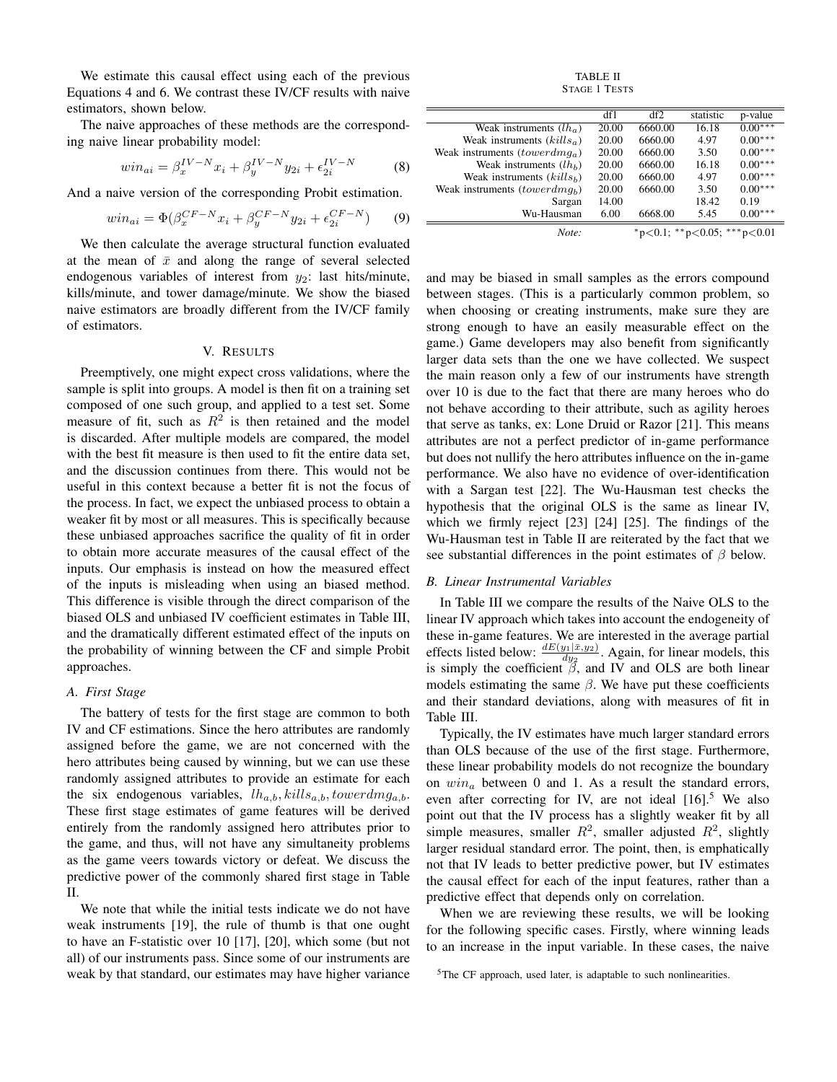We estimate this causal effect using each of the previous Equations 4 and 6. We contrast these IV/CF results with naive estimators, shown below.

The naive approaches of these methods are the corresponding naive linear probability model:

$$
win_{ai} = \beta_x^{IV-N} x_i + \beta_y^{IV-N} y_{2i} + \epsilon_{2i}^{IV-N}
$$
 (8)

And a naive version of the corresponding Probit estimation.

$$
win_{ai} = \Phi(\beta_x^{CF-N}x_i + \beta_y^{CF-N}y_{2i} + \epsilon_{2i}^{CF-N})
$$
 (9)

We then calculate the average structural function evaluated at the mean of  $\bar{x}$  and along the range of several selected endogenous variables of interest from  $y_2$ : last hits/minute, kills/minute, and tower damage/minute. We show the biased naive estimators are broadly different from the IV/CF family of estimators.

#### V. RESULTS

Preemptively, one might expect cross validations, where the sample is split into groups. A model is then fit on a training set composed of one such group, and applied to a test set. Some measure of fit, such as  $R^2$  is then retained and the model is discarded. After multiple models are compared, the model with the best fit measure is then used to fit the entire data set, and the discussion continues from there. This would not be useful in this context because a better fit is not the focus of the process. In fact, we expect the unbiased process to obtain a weaker fit by most or all measures. This is specifically because these unbiased approaches sacrifice the quality of fit in order to obtain more accurate measures of the causal effect of the inputs. Our emphasis is instead on how the measured effect of the inputs is misleading when using an biased method. This difference is visible through the direct comparison of the biased OLS and unbiased IV coefficient estimates in Table III, and the dramatically different estimated effect of the inputs on the probability of winning between the CF and simple Probit approaches.

#### *A. First Stage*

The battery of tests for the first stage are common to both IV and CF estimations. Since the hero attributes are randomly assigned before the game, we are not concerned with the hero attributes being caused by winning, but we can use these randomly assigned attributes to provide an estimate for each the six endogenous variables,  $lh_{a,b}$ ,  $kills_{a,b}$ , towerd  $mg_{a,b}$ . These first stage estimates of game features will be derived entirely from the randomly assigned hero attributes prior to the game, and thus, will not have any simultaneity problems as the game veers towards victory or defeat. We discuss the predictive power of the commonly shared first stage in Table II.

We note that while the initial tests indicate we do not have weak instruments [19], the rule of thumb is that one ought to have an F-statistic over 10 [17], [20], which some (but not all) of our instruments pass. Since some of our instruments are weak by that standard, our estimates may have higher variance

TABLE II STAGE 1 TESTS

|                                                  | df1   | df2                         | statistic | p-value   |
|--------------------------------------------------|-------|-----------------------------|-----------|-----------|
| Weak instruments $(lh_a)$                        | 20.00 | 6660.00                     | 16.18     | $0.00***$ |
| Weak instruments $(kills_{\alpha})$              | 20.00 | 6660.00                     | 4.97      | $0.00***$ |
| Weak instruments ( <i>towerdmg<sub>a</sub></i> ) | 20.00 | 6660.00                     | 3.50      | $0.00***$ |
| Weak instruments $(lh_b)$                        | 20.00 | 6660.00                     | 16.18     | $0.00***$ |
| Weak instruments $(kills_b)$                     | 20.00 | 6660.00                     | 4.97      | $0.00***$ |
| Weak instruments $(towerdmqb)$                   | 20.00 | 6660.00                     | 3.50      | $0.00***$ |
| Sargan                                           | 14.00 |                             | 18.42     | 0.19      |
| Wu-Hausman                                       | 6.00  | 6668.00                     | 5.45      | $0.00***$ |
| Note:                                            |       | *p<0.1; **p<0.05; ***p<0.01 |           |           |

and may be biased in small samples as the errors compound between stages. (This is a particularly common problem, so when choosing or creating instruments, make sure they are strong enough to have an easily measurable effect on the game.) Game developers may also benefit from significantly larger data sets than the one we have collected. We suspect the main reason only a few of our instruments have strength over 10 is due to the fact that there are many heroes who do not behave according to their attribute, such as agility heroes that serve as tanks, ex: Lone Druid or Razor [21]. This means attributes are not a perfect predictor of in-game performance but does not nullify the hero attributes influence on the in-game performance. We also have no evidence of over-identification with a Sargan test [22]. The Wu-Hausman test checks the hypothesis that the original OLS is the same as linear IV, which we firmly reject [23] [24] [25]. The findings of the Wu-Hausman test in Table II are reiterated by the fact that we see substantial differences in the point estimates of  $\beta$  below.

#### *B. Linear Instrumental Variables*

 $\equiv$ 

In Table III we compare the results of the Naive OLS to the linear IV approach which takes into account the endogeneity of these in-game features. We are interested in the average partial effects listed below:  $\frac{dE(y_1|\bar{x},y_2)}{dy_2}$ . Again, for linear models, this is simply the coefficient  $\beta$ , and IV and OLS are both linear models estimating the same  $\beta$ . We have put these coefficients and their standard deviations, along with measures of fit in Table III.

Typically, the IV estimates have much larger standard errors than OLS because of the use of the first stage. Furthermore, these linear probability models do not recognize the boundary on  $win_a$  between 0 and 1. As a result the standard errors, even after correcting for IV, are not ideal  $[16]$ <sup>5</sup>. We also point out that the IV process has a slightly weaker fit by all simple measures, smaller  $R^2$ , smaller adjusted  $R^2$ , slightly larger residual standard error. The point, then, is emphatically not that IV leads to better predictive power, but IV estimates the causal effect for each of the input features, rather than a predictive effect that depends only on correlation.

When we are reviewing these results, we will be looking for the following specific cases. Firstly, where winning leads to an increase in the input variable. In these cases, the naive

<sup>5</sup>The CF approach, used later, is adaptable to such nonlinearities.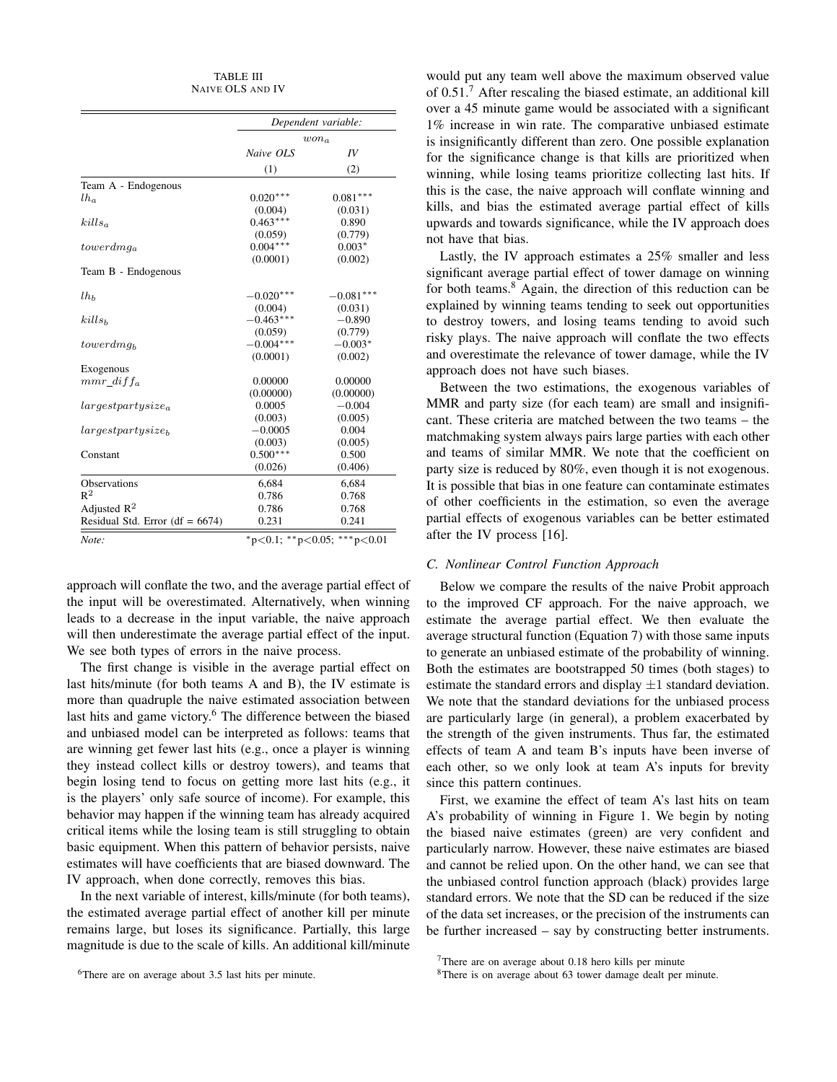TABLE III NAIVE OLS AND IV

|                                    | Dependent variable:<br>$won_a$    |             |  |
|------------------------------------|-----------------------------------|-------------|--|
|                                    |                                   |             |  |
|                                    | Naive OLS                         | IV          |  |
|                                    | (1)                               | (2)         |  |
| Team A - Endogenous                |                                   |             |  |
| $lh_a$                             | $0.020***$                        | $0.081***$  |  |
|                                    | (0.004)                           | (0.031)     |  |
| $kills_a$                          | $0.463***$                        | 0.890       |  |
|                                    | (0.059)                           | (0.779)     |  |
| $towerdmq_a$                       | $0.004***$                        | $0.003*$    |  |
|                                    | (0.0001)                          | (0.002)     |  |
| Team B - Endogenous                |                                   |             |  |
| $lh_b$                             | $-0.020***$                       | $-0.081***$ |  |
|                                    | (0.004)                           | (0.031)     |  |
| $kills_b$                          | $-0.463***$                       | $-0.890$    |  |
|                                    | (0.059)                           | (0.779)     |  |
| $towerdmq_h$                       | $-0.004***$                       | $-0.003*$   |  |
|                                    | (0.0001)                          | (0.002)     |  |
| Exogenous                          |                                   |             |  |
| $mmr\_diff_a$                      | 0.00000                           | 0.00000     |  |
|                                    | (0.00000)                         | (0.00000)   |  |
| $largest partysize_a$              | 0.0005                            | $-0.004$    |  |
|                                    | (0.003)                           | (0.005)     |  |
| largest partysize <sub>b</sub>     | $-0.0005$                         | 0.004       |  |
|                                    | (0.003)                           | (0.005)     |  |
| Constant                           | $0.500***$                        | 0.500       |  |
|                                    | (0.026)                           | (0.406)     |  |
| <b>Observations</b>                | 6,684                             | 6,684       |  |
| $R^2$                              | 0.786                             | 0.768       |  |
| Adjusted $\mathbb{R}^2$            | 0.786                             | 0.768       |  |
| Residual Std. Error (df = $6674$ ) | 0.231                             | 0.241       |  |
| Note:                              | *p<0.1; **p<0.05;<br>*** $p<0.01$ |             |  |

approach will conflate the two, and the average partial effect of the input will be overestimated. Alternatively, when winning leads to a decrease in the input variable, the naive approach will then underestimate the average partial effect of the input. We see both types of errors in the naive process.

The first change is visible in the average partial effect on last hits/minute (for both teams A and B), the IV estimate is more than quadruple the naive estimated association between last hits and game victory.<sup>6</sup> The difference between the biased and unbiased model can be interpreted as follows: teams that are winning get fewer last hits (e.g., once a player is winning they instead collect kills or destroy towers), and teams that begin losing tend to focus on getting more last hits (e.g., it is the players' only safe source of income). For example, this behavior may happen if the winning team has already acquired critical items while the losing team is still struggling to obtain basic equipment. When this pattern of behavior persists, naive estimates will have coefficients that are biased downward. The IV approach, when done correctly, removes this bias.

In the next variable of interest, kills/minute (for both teams), the estimated average partial effect of another kill per minute remains large, but loses its significance. Partially, this large magnitude is due to the scale of kills. An additional kill/minute

<sup>6</sup>There are on average about 3.5 last hits per minute.

would put any team well above the maximum observed value of  $0.51<sup>7</sup>$  After rescaling the biased estimate, an additional kill over a 45 minute game would be associated with a significant 1% increase in win rate. The comparative unbiased estimate is insignificantly different than zero. One possible explanation for the significance change is that kills are prioritized when winning, while losing teams prioritize collecting last hits. If this is the case, the naive approach will conflate winning and kills, and bias the estimated average partial effect of kills upwards and towards significance, while the IV approach does not have that bias.

Lastly, the IV approach estimates a 25% smaller and less significant average partial effect of tower damage on winning for both teams.<sup>8</sup> Again, the direction of this reduction can be explained by winning teams tending to seek out opportunities to destroy towers, and losing teams tending to avoid such risky plays. The naive approach will conflate the two effects and overestimate the relevance of tower damage, while the IV approach does not have such biases.

Between the two estimations, the exogenous variables of MMR and party size (for each team) are small and insignificant. These criteria are matched between the two teams – the matchmaking system always pairs large parties with each other and teams of similar MMR. We note that the coefficient on party size is reduced by 80%, even though it is not exogenous. It is possible that bias in one feature can contaminate estimates of other coefficients in the estimation, so even the average partial effects of exogenous variables can be better estimated after the IV process [16].

## *C. Nonlinear Control Function Approach*

Below we compare the results of the naive Probit approach to the improved CF approach. For the naive approach, we estimate the average partial effect. We then evaluate the average structural function (Equation 7) with those same inputs to generate an unbiased estimate of the probability of winning. Both the estimates are bootstrapped 50 times (both stages) to estimate the standard errors and display  $\pm 1$  standard deviation. We note that the standard deviations for the unbiased process are particularly large (in general), a problem exacerbated by the strength of the given instruments. Thus far, the estimated effects of team A and team B's inputs have been inverse of each other, so we only look at team A's inputs for brevity since this pattern continues.

First, we examine the effect of team A's last hits on team A's probability of winning in Figure 1. We begin by noting the biased naive estimates (green) are very confident and particularly narrow. However, these naive estimates are biased and cannot be relied upon. On the other hand, we can see that the unbiased control function approach (black) provides large standard errors. We note that the SD can be reduced if the size of the data set increases, or the precision of the instruments can be further increased – say by constructing better instruments.

<sup>7</sup>There are on average about 0.18 hero kills per minute

<sup>8</sup>There is on average about 63 tower damage dealt per minute.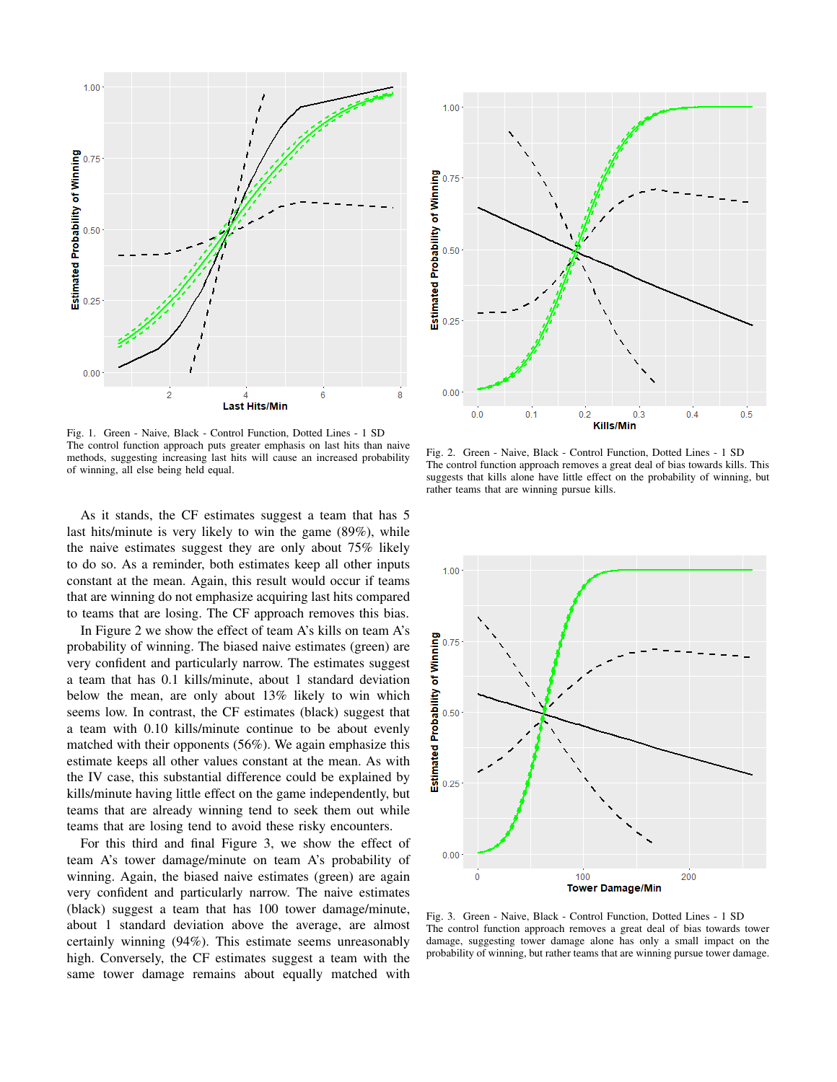

Fig. 1. Green - Naive, Black - Control Function, Dotted Lines - 1 SD The control function approach puts greater emphasis on last hits than naive methods, suggesting increasing last hits will cause an increased probability of winning, all else being held equal.

As it stands, the CF estimates suggest a team that has 5 last hits/minute is very likely to win the game (89%), while the naive estimates suggest they are only about 75% likely to do so. As a reminder, both estimates keep all other inputs constant at the mean. Again, this result would occur if teams that are winning do not emphasize acquiring last hits compared to teams that are losing. The CF approach removes this bias.

In Figure 2 we show the effect of team A's kills on team A's probability of winning. The biased naive estimates (green) are very confident and particularly narrow. The estimates suggest a team that has 0.1 kills/minute, about 1 standard deviation below the mean, are only about 13% likely to win which seems low. In contrast, the CF estimates (black) suggest that a team with 0.10 kills/minute continue to be about evenly matched with their opponents (56%). We again emphasize this estimate keeps all other values constant at the mean. As with the IV case, this substantial difference could be explained by kills/minute having little effect on the game independently, but teams that are already winning tend to seek them out while teams that are losing tend to avoid these risky encounters.

For this third and final Figure 3, we show the effect of team A's tower damage/minute on team A's probability of winning. Again, the biased naive estimates (green) are again very confident and particularly narrow. The naive estimates (black) suggest a team that has 100 tower damage/minute, about 1 standard deviation above the average, are almost certainly winning (94%). This estimate seems unreasonably high. Conversely, the CF estimates suggest a team with the same tower damage remains about equally matched with



Fig. 2. Green - Naive, Black - Control Function, Dotted Lines - 1 SD The control function approach removes a great deal of bias towards kills. This suggests that kills alone have little effect on the probability of winning, but rather teams that are winning pursue kills.



Fig. 3. Green - Naive, Black - Control Function, Dotted Lines - 1 SD The control function approach removes a great deal of bias towards tower damage, suggesting tower damage alone has only a small impact on the probability of winning, but rather teams that are winning pursue tower damage.